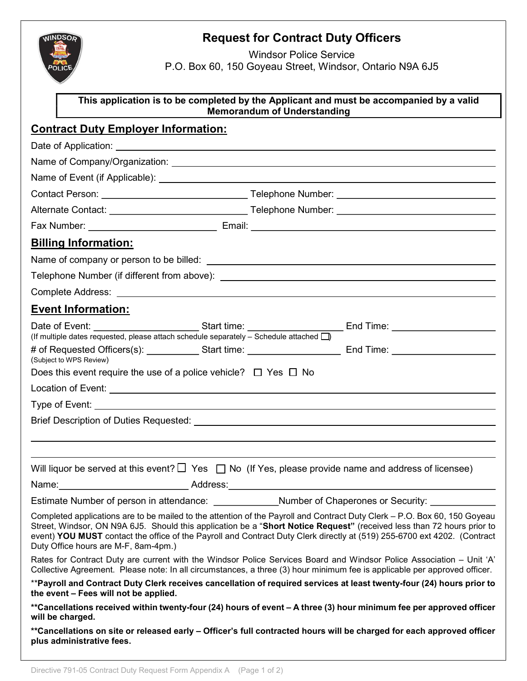

## Request for Contract Duty Officers

Windsor Police Service

P.O. Box 60, 150 Goyeau Street, Windsor, Ontario N9A 6J5

| This application is to be completed by the Applicant and must be accompanied by a valid<br><b>Memorandum of Understanding</b> |                                                                                                                                                                                                                                                                                                                                                                                 |  |  |  |
|-------------------------------------------------------------------------------------------------------------------------------|---------------------------------------------------------------------------------------------------------------------------------------------------------------------------------------------------------------------------------------------------------------------------------------------------------------------------------------------------------------------------------|--|--|--|
| <b>Contract Duty Employer Information:</b>                                                                                    |                                                                                                                                                                                                                                                                                                                                                                                 |  |  |  |
|                                                                                                                               |                                                                                                                                                                                                                                                                                                                                                                                 |  |  |  |
| Name of Company/Organization: Name of Company/Organization:                                                                   |                                                                                                                                                                                                                                                                                                                                                                                 |  |  |  |
|                                                                                                                               |                                                                                                                                                                                                                                                                                                                                                                                 |  |  |  |
|                                                                                                                               |                                                                                                                                                                                                                                                                                                                                                                                 |  |  |  |
|                                                                                                                               |                                                                                                                                                                                                                                                                                                                                                                                 |  |  |  |
|                                                                                                                               |                                                                                                                                                                                                                                                                                                                                                                                 |  |  |  |
| <b>Billing Information:</b>                                                                                                   |                                                                                                                                                                                                                                                                                                                                                                                 |  |  |  |
|                                                                                                                               |                                                                                                                                                                                                                                                                                                                                                                                 |  |  |  |
|                                                                                                                               |                                                                                                                                                                                                                                                                                                                                                                                 |  |  |  |
|                                                                                                                               |                                                                                                                                                                                                                                                                                                                                                                                 |  |  |  |
| <b>Event Information:</b>                                                                                                     |                                                                                                                                                                                                                                                                                                                                                                                 |  |  |  |
|                                                                                                                               |                                                                                                                                                                                                                                                                                                                                                                                 |  |  |  |
| (If multiple dates requested, please attach schedule separately $-$ Schedule attached $\Box$ )                                |                                                                                                                                                                                                                                                                                                                                                                                 |  |  |  |
| (Subject to WPS Review)                                                                                                       | # of Requested Officers(s): ____________Start time: ____________________________ End Time: ___________________                                                                                                                                                                                                                                                                  |  |  |  |
| Does this event require the use of a police vehicle? $\Box$ Yes $\Box$ No                                                     |                                                                                                                                                                                                                                                                                                                                                                                 |  |  |  |
|                                                                                                                               |                                                                                                                                                                                                                                                                                                                                                                                 |  |  |  |
|                                                                                                                               |                                                                                                                                                                                                                                                                                                                                                                                 |  |  |  |
|                                                                                                                               |                                                                                                                                                                                                                                                                                                                                                                                 |  |  |  |
|                                                                                                                               |                                                                                                                                                                                                                                                                                                                                                                                 |  |  |  |
|                                                                                                                               | Will liquor be served at this event? $\Box$ Yes $\Box$ No (If Yes, please provide name and address of licensee)                                                                                                                                                                                                                                                                 |  |  |  |
|                                                                                                                               |                                                                                                                                                                                                                                                                                                                                                                                 |  |  |  |
| Estimate Number of person in attendance: Number of Chaperones or Security:                                                    |                                                                                                                                                                                                                                                                                                                                                                                 |  |  |  |
| Duty Office hours are M-F, 8am-4pm.)                                                                                          | Completed applications are to be mailed to the attention of the Payroll and Contract Duty Clerk – P.O. Box 60, 150 Goyeau<br>Street, Windsor, ON N9A 6J5. Should this application be a "Short Notice Request" (received less than 72 hours prior to<br>event) YOU MUST contact the office of the Payroll and Contract Duty Clerk directly at (519) 255-6700 ext 4202. (Contract |  |  |  |
|                                                                                                                               | Rates for Contract Duty are current with the Windsor Police Services Board and Windsor Police Association – Unit 'A'<br>Collective Agreement. Please note: In all circumstances, a three (3) hour minimum fee is applicable per approved officer.                                                                                                                               |  |  |  |
| the event - Fees will not be applied.                                                                                         | **Payroll and Contract Duty Clerk receives cancellation of required services at least twenty-four (24) hours prior to                                                                                                                                                                                                                                                           |  |  |  |
| will be charged.                                                                                                              | **Cancellations received within twenty-four (24) hours of event – A three (3) hour minimum fee per approved officer                                                                                                                                                                                                                                                             |  |  |  |
| plus administrative fees.                                                                                                     | **Cancellations on site or released early – Officer's full contracted hours will be charged for each approved officer                                                                                                                                                                                                                                                           |  |  |  |